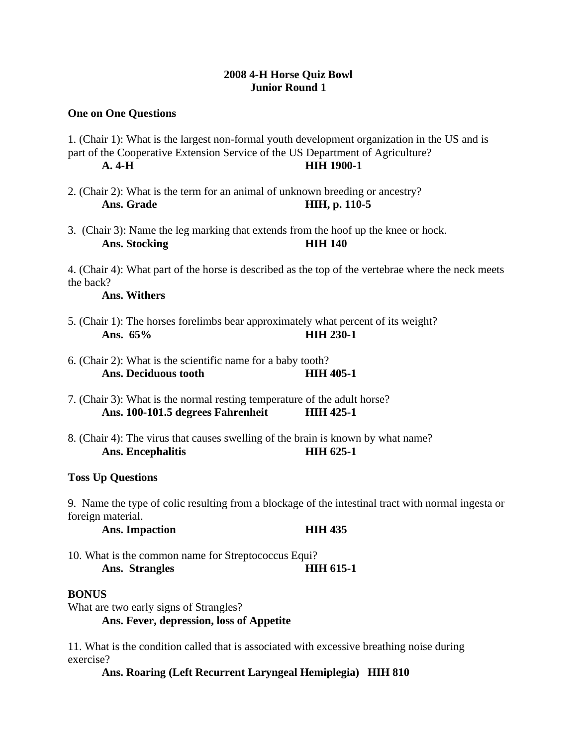# **2008 4-H Horse Quiz Bowl Junior Round 1**

## **One on One Questions**

- 1. (Chair 1): What is the largest non-formal youth development organization in the US and is part of the Cooperative Extension Service of the US Department of Agriculture? **A. 4-H HIH 1900-1**
- 2. (Chair 2): What is the term for an animal of unknown breeding or ancestry?  **Ans. Grade HIH, p. 110-5**
- 3. (Chair 3): Name the leg marking that extends from the hoof up the knee or hock. Ans. Stocking **HIH 140**

4. (Chair 4): What part of the horse is described as the top of the vertebrae where the neck meets the back?

## **Ans. Withers**

- 5. (Chair 1): The horses forelimbs bear approximately what percent of its weight? **Ans. 65% HIH 230-1**
- 6. (Chair 2): What is the scientific name for a baby tooth? Ans. Deciduous tooth **HIH 405-1**
- 7. (Chair 3): What is the normal resting temperature of the adult horse? **Ans. 100-101.5 degrees Fahrenheit HIH 425-1**
- 8. (Chair 4): The virus that causes swelling of the brain is known by what name? Ans. Encephalitis **HIH 625-1**

### **Toss Up Questions**

9. Name the type of colic resulting from a blockage of the intestinal tract with normal ingesta or foreign material.

## Ans. Impaction **HIH 435**

10. What is the common name for Streptococcus Equi? Ans. Strangles **HIH 615-1** 

### **BONUS**

What are two early signs of Strangles?

**Ans. Fever, depression, loss of Appetite** 

11. What is the condition called that is associated with excessive breathing noise during exercise?

**Ans. Roaring (Left Recurrent Laryngeal Hemiplegia) HIH 810**